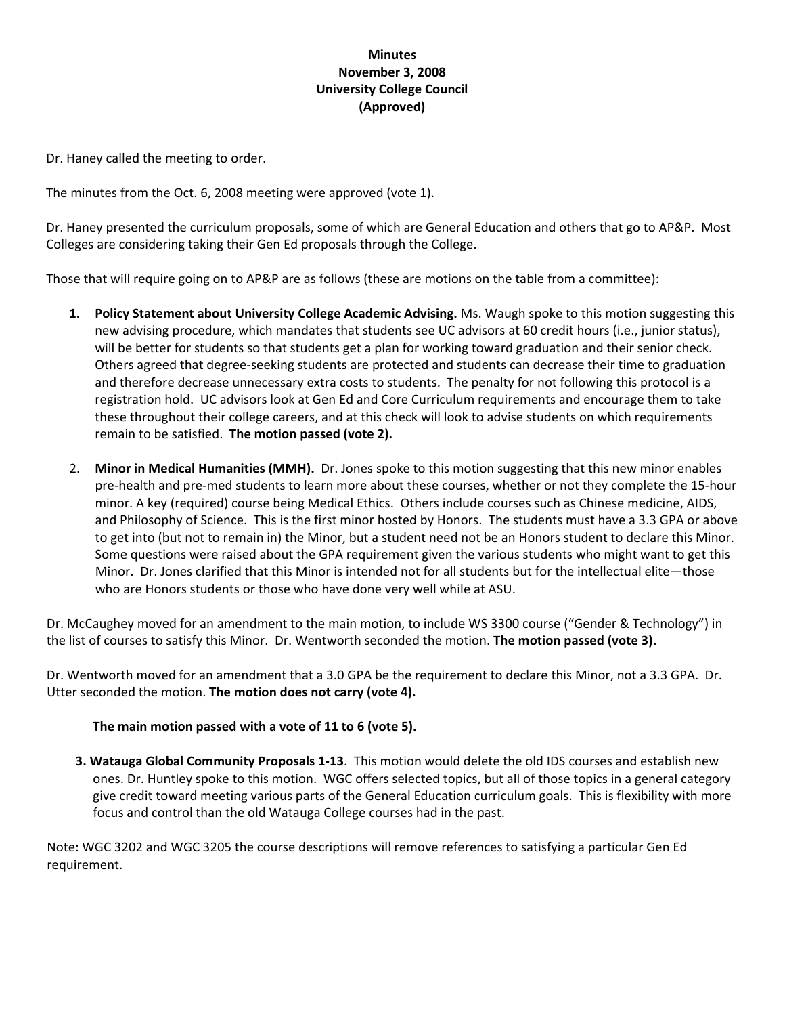# **Minutes November 3, 2008 University College Council (Approved)**

Dr. Haney called the meeting to order.

The minutes from the Oct. 6, 2008 meeting were approved (vote 1).

Dr. Haney presented the curriculum proposals, some of which are General Education and others that go to AP&P. Most Colleges are considering taking their Gen Ed proposals through the College.

Those that will require going on to AP&P are as follows (these are motions on the table from a committee):

- **1. Policy Statement about University College Academic Advising.** Ms. Waugh spoke to this motion suggesting this new advising procedure, which mandates that students see UC advisors at 60 credit hours (i.e., junior status), will be better for students so that students get a plan for working toward graduation and their senior check. Others agreed that degree‐seeking students are protected and students can decrease their time to graduation and therefore decrease unnecessary extra costs to students. The penalty for not following this protocol is a registration hold. UC advisors look at Gen Ed and Core Curriculum requirements and encourage them to take these throughout their college careers, and at this check will look to advise students on which requirements remain to be satisfied. **The motion passed (vote 2).**
- 2. **Minor in Medical Humanities (MMH).** Dr. Jones spoke to this motion suggesting that this new minor enables pre‐health and pre‐med students to learn more about these courses, whether or not they complete the 15‐hour minor. A key (required) course being Medical Ethics. Others include courses such as Chinese medicine, AIDS, and Philosophy of Science. This is the first minor hosted by Honors. The students must have a 3.3 GPA or above to get into (but not to remain in) the Minor, but a student need not be an Honors student to declare this Minor. Some questions were raised about the GPA requirement given the various students who might want to get this Minor. Dr. Jones clarified that this Minor is intended not for all students but for the intellectual elite—those who are Honors students or those who have done very well while at ASU.

Dr. McCaughey moved for an amendment to the main motion, to include WS 3300 course ("Gender & Technology") in the list of courses to satisfy this Minor. Dr. Wentworth seconded the motion. **The motion passed (vote 3).**

Dr. Wentworth moved for an amendment that a 3.0 GPA be the requirement to declare this Minor, not a 3.3 GPA. Dr. Utter seconded the motion. **The motion does not carry (vote 4).**

# **The main motion passed with a vote of 11 to 6 (vote 5).**

**3. Watauga Global Community Proposals 1‐13**. This motion would delete the old IDS courses and establish new ones. Dr. Huntley spoke to this motion. WGC offers selected topics, but all of those topics in a general category give credit toward meeting various parts of the General Education curriculum goals. This is flexibility with more focus and control than the old Watauga College courses had in the past.

Note: WGC 3202 and WGC 3205 the course descriptions will remove references to satisfying a particular Gen Ed requirement.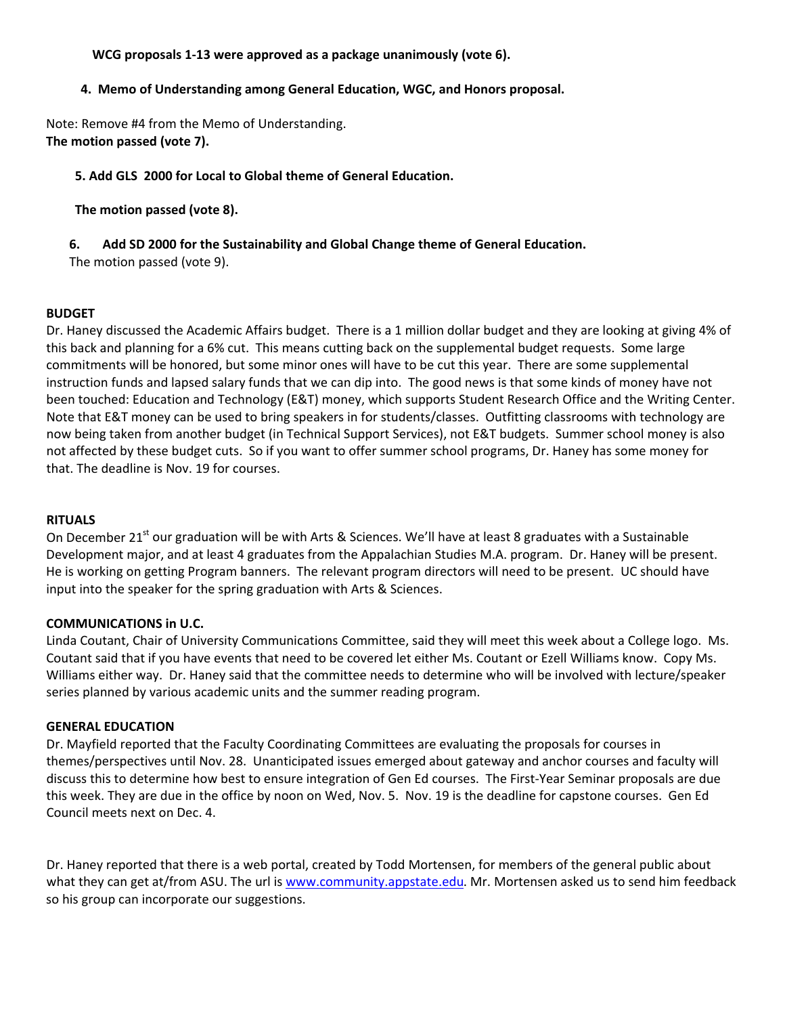# **WCG proposals 1‐13 were approved as a package unanimously (vote 6).**

## **4. Memo of Understanding among General Education, WGC, and Honors proposal.**

Note: Remove #4 from the Memo of Understanding. **The motion passed (vote 7).**

### **5. Add GLS 2000 for Local to Global theme of General Education.**

**The motion passed (vote 8).**

### **6. Add SD 2000 for the Sustainability and Global Change theme of General Education.**

The motion passed (vote 9).

### **BUDGET**

Dr. Haney discussed the Academic Affairs budget. There is a 1 million dollar budget and they are looking at giving 4% of this back and planning for a 6% cut. This means cutting back on the supplemental budget requests. Some large commitments will be honored, but some minor ones will have to be cut this year. There are some supplemental instruction funds and lapsed salary funds that we can dip into. The good news is that some kinds of money have not been touched: Education and Technology (E&T) money, which supports Student Research Office and the Writing Center. Note that E&T money can be used to bring speakers in for students/classes. Outfitting classrooms with technology are now being taken from another budget (in Technical Support Services), not E&T budgets. Summer school money is also not affected by these budget cuts. So if you want to offer summer school programs, Dr. Haney has some money for that. The deadline is Nov. 19 for courses.

#### **RITUALS**

On December 21<sup>st</sup> our graduation will be with Arts & Sciences. We'll have at least 8 graduates with a Sustainable Development major, and at least 4 graduates from the Appalachian Studies M.A. program. Dr. Haney will be present. He is working on getting Program banners. The relevant program directors will need to be present. UC should have input into the speaker for the spring graduation with Arts & Sciences.

# **COMMUNICATIONS in U.C.**

Linda Coutant, Chair of University Communications Committee, said they will meet this week about a College logo. Ms. Coutant said that if you have events that need to be covered let either Ms. Coutant or Ezell Williams know. Copy Ms. Williams either way. Dr. Haney said that the committee needs to determine who will be involved with lecture/speaker series planned by various academic units and the summer reading program.

#### **GENERAL EDUCATION**

Dr. Mayfield reported that the Faculty Coordinating Committees are evaluating the proposals for courses in themes/perspectives until Nov. 28. Unanticipated issues emerged about gateway and anchor courses and faculty will discuss this to determine how best to ensure integration of Gen Ed courses. The First‐Year Seminar proposals are due this week. They are due in the office by noon on Wed, Nov. 5. Nov. 19 is the deadline for capstone courses. Gen Ed Council meets next on Dec. 4.

Dr. Haney reported that there is a web portal, created by Todd Mortensen, for members of the general public about what they can get at/from ASU. The url is [www.community.appstate.edu.](http://www.community.appstate.edu/) Mr. Mortensen asked us to send him feedback so his group can incorporate our suggestions.